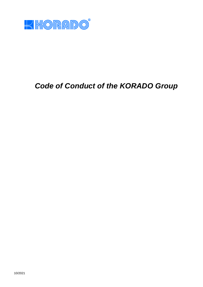

# *Code of Conduct of the KORADO Group*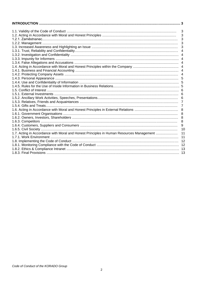|                                                                                          | 3              |
|------------------------------------------------------------------------------------------|----------------|
|                                                                                          | $\mathbf{3}$   |
|                                                                                          | 3              |
|                                                                                          | 3              |
|                                                                                          | 3              |
|                                                                                          | 4              |
|                                                                                          |                |
|                                                                                          |                |
|                                                                                          |                |
|                                                                                          |                |
|                                                                                          |                |
|                                                                                          |                |
|                                                                                          |                |
|                                                                                          |                |
|                                                                                          |                |
|                                                                                          |                |
|                                                                                          |                |
|                                                                                          |                |
|                                                                                          |                |
|                                                                                          | $\overline{7}$ |
|                                                                                          |                |
|                                                                                          | 8              |
|                                                                                          |                |
|                                                                                          | 8              |
|                                                                                          | 9              |
|                                                                                          | 10             |
| 1.7. Acting in Accordance with Moral and Honest Principles in Human Resources Management | 11             |
|                                                                                          |                |
|                                                                                          |                |
|                                                                                          |                |
|                                                                                          |                |
|                                                                                          |                |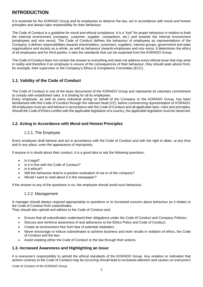# **INTRODUCTION**

It is essential for the KORADO Group and its employees to observe the law, act in accordance with moral and honest principles and always take responsibility for their behaviour.

The Code of Conduct is a guideline for moral and ethical compliance. It is a "tool" for proper behaviour in relation to both the external environment (company, customer, supplier, competitors, etc.) and towards the internal environment (employees and vice versa). The Code of Conduct defines the behaviour of employees as representatives of the Company; it defines responsibilities towards shareholders, customers, suppliers, interest groups, government and state organisations and society as a whole, as well as behaviour towards employees and vice versa. It determines the ethics of all employees and for third parties, it sets the standards that can be expected from the KORADO Group.

The Code of Conduct does not contain the answer to everything and does not address every ethical issue that may arise in reality and therefore if an employee is unsure of the consequences of their behaviour, they should seek advice from, for example, their supervisor or the Company's Ethics & Compliance Committee (ECC).

# **1.1. Validity of the Code of Conduct**

The Code of Conduct is one of the basic documents of the KORADO Group and represents its voluntary commitment to comply with established rules. It is binding for all its employees.

Every employee, as well as every individual acting on behalf of the Company or the KORADO Group, has been familiarised with this Code of Conduct through the relevant head (VZ), before commencing representation of KORADO. All employees must act and behave in accordance with the Code of Conduct and all applicable laws, rules and principles. Should the Code of Ethics conflict with the applicable legislation of a country, the applicable legislation must be observed.

# **1.2. Acting in Accordance with Moral and Honest Principles**

# 1.2.1. The Employee

Every employee shall behave and act in accordance with the Code of Conduct and with the right to deter, at any time and in any place, even the appearance of impropriety.

If anyone is in doubt about their conduct, it is a good idea to ask the following questions:

- Is it legal?
- Is it in line with the Code of Conduct?
- Is it ethical?
- Will this behaviour lead to a positive evaluation of me or of the company?
- Would I want to read about it in the newspaper?

If the answer to any of the questions is no, the employee should avoid such behaviour.

# 1.2.2. Management

A manager should always respond appropriately to questions or to increased concern about behaviour as it relates to the Code of Conduct from subordinates.

They should also uphold and adhere to the Code of Conduct and:

- Ensure that all subordinates understand their obligations under the Code of Conduct and Company Policies;
- Discuss and reinforce awareness of and adherance to the Ethics Policy and Code of Conduct;
- Create an environment free from fear of potential retaliation;
- Never encourage or induce subordinates to achieve business and work results in violation of ethics, the Code of Conduct and the law;
- Avoid violating either the Code of Conduct or the law through their actions.

# **1.3. Increased Awareness and Highlighting an Issue**

It is everyone's responsibility to uphold the ethical standards of the KORADO Group. Any violation or indication that actions contrary to the Code of Conduct may be occurring should lead to increased attention and caution on everyone's

*Code of Conduct of the KORADO Group*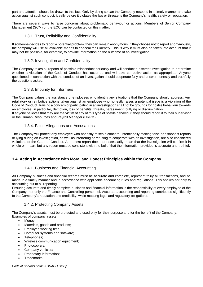part and attention should be drawn to this fact. Only by doing so can the Company respond in a timely manner and take action against such conduct, ideally before it violates the law or threatens the Company's health, safety or reputation.

There are several ways to raise concerns about problematic behaviour or actions. Members of Senior Company Management (SCM) or the ECC can be contacted on this matter.

# 1.3.1. Trust, Reliability and Confidentiality

If someone decides to report a potential problem, they can remain anonymous. If they choose not to report anonymously, the company will use all available means to conceal their identity. This is why it must also be taken into account that it may not be possible, for example, to provide information on the outcome of an investigation.

# 1.3.2. Investigation and Confidentiality

The Company takes all reports of possible misconduct seriously and will conduct a discreet investigation to determine whether a violation of the Code of Conduct has occurred and will take corrective action as appropriate. Anyone questioned in connection with the conduct of an investigation should cooperate fully and answer honestly and truthfully the questions asked.

# 1.3.3. Impunity for Informers

The Company values the assistance of employees who identify any situations that the Company should address. Any retaliatory or retributive actions taken against an employee who honestly raises a potential issue is a violation of the Code of Conduct. Raising a concern or participating in an investigation shall not be grounds for hostile behaviour towards an employee, in particular, demotion, loss of benefits, threats, harassment, bullying or discrimination. If anyone believes that they are the victim of any of this type of hostile behaviour, they should report it to their supervisor or the Human Resources and Payroll Manager (HRPM).

# 1.3.4. False Allegations and Accusations

The Company will protect any employee who honestly raises a concern. Intentionally making false or dishonest reports or lying during an investigation, as well as interfering or refusing to cooperate with an investigation, are also considered violations of the Code of Conduct. An honest report does not necessarily mean that the investigation will confirm it in whole or in part, but any report must be consistent with the belief that the information provided is accurate and truthful.

# **1.4. Acting in Accordance with Moral and Honest Principles within the Company**

# 1.4.1. Business and Financial Accounting

All Company business and financial records must be accurate and complete, represent fairly all transactions, and be made in a timely manner and in accordance with applicable accounting rules and regulations. This applies not only to accounting but to all reporting.

Ensuring accurate and timely complete business and financial information is the responsibility of every employee of the Company, not only the Finance and Controlling personnel. Accurate accounting and reporting contributes significantly to the Company's reputation and credibility, while meeting legal and regulatory obligations.

# 1.4.2. Protecting Company Assets

The Company's assets must be protected and used only for their purpose and for the benefit of the Company. Examples of company assets:

- Money;
- Materials, goods and products;
- Employee working time;
- Computer systems and software;
- Telephones:
- Wireless communication equipment;
- Photocopiers;
- Company vehicles;
- Proprietary information;
- Trademarks.

*Code of Conduct of the KORADO Group*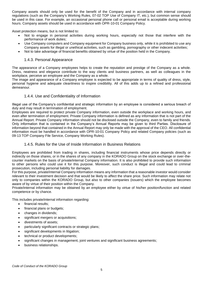Company assets should only be used for the benefit of the Company and in accordance with internal company regulations (such as the Company's Working Rules, 07-02 TOP Use of Company IT, etc.), but common sense should be used in this case. For example, an occasional personal phone call or personal email is acceptable during working hours. Company assets should be used in accordance with OPR-10-01 Company Policy.

Asset protection means, but is not limited to:

- Not to engage in personal activities during working hours, especially not those that interfere with the performance of work duties;
- Use Company computers and Company equipment for Company business only, while it is prohibited to use any Company assets for illegal or unethical activities, such as gambling, pornography or other indecent activities;
- Not to take advantage of financial benefits obtained by virtue of the position held in the Company.

## 1.4.3. Personal Appearance

The appearance of a Company employees helps to create the reputation and prestige of the Company as a whole. Dress, neatness and elegance contribute to the way clients and business partners, as well as colleagues in the workplace, perceive an employee and the Company as a whole.

The image and appearance of a Company employee is expected to be appropriate in terms of quality of dress, style, personal hygiene and adequate cleanliness to inspire credibility. All of this adds up to a refined and professional demeanour.

## 1.4.4. Use and Confidentiality of Information

Illegal use of the Company's confidential and strategic information by an employee is considered a serious breach of duty and may result in termination of employment.

Employees are required to protect private Company information, even outside the workplace and working hours, and even after termination of employment. Private Company information is defined as any information that is not part of the Annual Report. Private Company information should not be disclosed outside the Company, even to family and friends. Only information that is contained in the Company's Annual Reports may be given to third Parties. Disclosure of information beyond that contained in the Annual Report may only be made with the approval of the CEO. All confidential information must be handled in accordance with OPR-10-01 Company Policy and related Company policies (such as 09-13 TOP Company File Service, Company Working Rules).

## 1.4.5. Rules for the Use of Inside Information in Business Relations

Employees are prohibited from trading in shares, including financial instruments whose price depends directly or indirectly on those shares, or in the shares of any company in the KORADO Group on the stock exchange or over-thecounter markets on the basis of private/internal Company information. It is also prohibited to provide such information to other persons who could use it for this purpose. Moreover, such conduct is illegal and could lead to criminal prosecution, including personal liability for damages.

For this purpose, private/internal Company information means any information that a reasonable investor would consider relevant to their investment decision and that would be likely to affect the share price. Such information may relate not only to companies within the KORADO Group, but also to other companies (issuers) which the employee becomes aware of by virtue of their position within the Company.

Private/internal information may be obtained by an employee either by virtue of his/her position/function and related competence or by chance.

This includes private/internal information regarding:

- financial results;
- financial plans or budgets;
- changes in dividends;
- significant mergers or acquisitions;
- divestments of assets;
- particularly significant contracts or strategic plans;
- significant developments in litigation;
- technical or product developments;
- significant changes in management, joint ventures and significant business agreements;
- business relationships.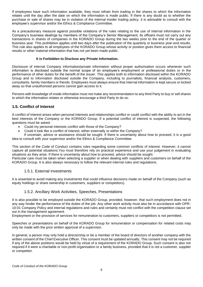If employees have such information available, they must refrain from trading in the shares to which the information relates until the day after the date on which the information is made public. If there is any doubt as to whether the purchase or sale of shares may be in violation of the internal insider trading policy, it is advisable to consult with the employee's supervisor and/or the Ethics & Compliance Committee.

As a precautionary measure against possible violations of the rules relating to the use of internal information in the Company's business dealings by members of the Company's Senior Management, its officers must not carry out any transactions in shares of companies in the KORADO Group during the two weeks prior to the end of the quarter or business year. This prohibition applies until two days after the publication of the quarterly or business year-end results. This rule also applies to all employees of the KORADO Group whose activity or position gives them access to financial results or other material information that has not yet been made public.

## **It is Forbidden to Disclose any Private Information.**

Disclosure of internal Company information/private information without proper authorisation occurs whenever such information is disclosed outside the normal scope of an employee's employment or professional duties or in the performance of other duties for the benefit of the issuer. This applies both to information disclosed within the KORADO Group and to information disclosed outside the Company, including to journalists, financial analysts, customers, consultants, family members or friends. Employees must always ensure that internal information is kept secure or locked away so that unauthorised persons cannot gain access to it.

Persons with knowledge of inside information must not make any recommendation to any third Party to buy or sell shares to which the information relates or otherwise encourage a third Party to do so.

# **1.5. Conflict of Interest**

A conflict of interest arises when personal interests and relationships conflict or could conflict with the ability to act in the best interests of the Company or the KORADO Group. If a potential conflict of interest is suspected, the following questions must be asked:

- Could my personal interests conflict with those of the Company?
- Could it look like a conflict of interest, either externally or within the Company?

If uncertain, advice or assistance should be sought. If there is uncertainty about how to proceed, it is a good idea to consult with your supervisor and/or the Ethics & Compliance Committee.

This section of the Code of Conduct contains rules regarding some common conflicts of interest. However, it cannot capture all potential situations.You must therefore rely on practical experience and use your judgement in evaluating situations as they arise. If there is uncertainty about how to proceed, advice should be sought.

Particular care must be taken when selecting a supplier or when dealing with suppliers and customers on behalf of the KORADO Group. It is also always necessary to follow the relevant internal rules and regulations.

# 1.5.1. External Investments

It is essential to avoid making any investments that could influence decisions made on behalf of the Company (such as equity holdings or share ownership in customers, suppliers or competitors).

# 1.5.2. Ancillary Work Activities, Speeches, Presentations

It is also possible to be employed outside the KORADO Group, provided, however, that such employment does not in any way hinder the performance of the duties of the job. Any other work activity must also be in accordance with OPR-10-01 Company Policy and internal regulations and rules and certainly must not conflict with the competition clause set out in the management agreement.

Employment or the provision of services for remuneration to customers, suppliers or competitors is not permitted.

Speeches or presentations on behalf of the KORADO Group for remuneration or compensation for related costs may only be made with the prior written approval of a supervisor.

In general, a person may only hold a directorship or be a member of the board of directors of another company with the written consent of the Chief Executive Officer. This consent must be updated annually. This consent may not be required if any of the above positions would be held by virtue of a requirement of the KORADO Group. Such consent is also not required if it were a charitable or non-profit organisation or a family business, provided that it is not a customer, supplier or competitor.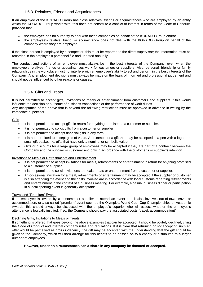# 1.5.3. Relatives, Friends and Acquaintances

If an employee of the KORADO Group has close relatives, friends or acquaintances who are employed by an entity which the KORADO Group works with, this does not constitute a conflict of interest in terms of the Code of Conduct, provided that:

- the employee has no authority to deal with these companies on behalf of the KORADO Group and/or
- the employee's relative, friend, or acquaintance does not deal with the KORADO Group on behalf of the company where they are employed.

If the close person is employed by a competitor, this must be reported to the direct supervisor; the information must be recorded in the employee's personnel file and updated annually.

The conduct and actions of an employee must always be in the best interests of the Company, even when the employee's relatives, friends or acquaintances work for customers or suppliers. Also, personal, friendship or family relationships in the workplace must not interfere with an employee's ability to act and perform in the best interests of the Company. Any employment decisions must always be made on the basis of informed and professional judgement and should not be influenced by other reasons or causes.

# 1.5.4. Gifts and Treats

It is not permitted to accept gifts, invitations to meals or entertainment from customers and suppliers if this would influence the decision or outcome of business transactions or the performance of work duties. Any acceptance of the above that is beyond the following restrictions must be approved in advance in writing by the immediate supervisor.

#### **Gifts**

- It is not permitted to accept gifts in return for anything promised to a customer or supplier.
- It is not permitted to solicit gifts from a customer or supplier.
- It is not permitted to accept financial gifts in any form.
- It is not permitted to accept gifts of value. An example of a gift that may be accepted is a pen with a logo or a small gift basket; i.e. gifts that have only a nominal or symbolic value.
- Gifts or discounts for a large group of employees may be accepted if they are part of a contract between the Company and the supplier or customer and only in accordance with the customer's or supplier's intention.

#### Invitations to Meals or Refreshments and Entertainment

- It is not permitted to accept invitations for meals, refreshments or entertainment in return for anything promised to a customer or supplier.
- It is not permitted to solicit invitations to meals, treats or entertainment from a customer or supplier.
- An occasional invitation for a meal, refreshments or entertainment may be accepted if the supplier or customer is also attending the event and the costs involved are in accordance with local customs regarding refreshments and entertainment in the context of a business meeting. For example, a casual business dinner or participation in a local sporting event is generally acceptable.

#### Travel and "Premium" Events

If an employee is invited by a customer or supplier to attend an event and it also involves out-of-town travel or accommodation, or a so-called "premium" event such as the Olympics, World Cup, Cup Championships or Academic Awards, this should always be discussed with the employee's superior who will assess whether the employee's attendance is logically justified. If so, the Company should pay the associated costs (travel, accommodation)).

#### Declining Gifts, Invitations to Meals or Treats

If something is offered that goes beyond the above examples that can be accepted, it should be politely declined, citing the Code of Conduct and internal company rules and regulations. If it is clear that returning or not accepting such an offer would be perceived as gross indecency, the gift may be accepted with the understanding that the gift should be given to the Company, which will then arrange for this benefit to be passed on to a charity or distributed to a larger number of employees.

#### **However, under no circumstances can a share in any company be donated or accepted.**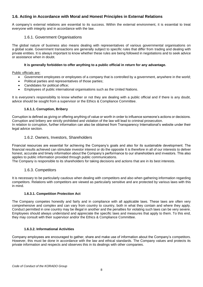# **1.6. Acting in Accordance with Moral and Honest Principles in External Relations**

A company's external relations are essential to its success. Within the external environment, it is essential to treat everyone with integrity and in accordance with the law.

## 1.6.1. Government Organisations

The global nature of business also means dealing with representatives of various governmental organisations on a global scale. Government transactions are generally subject to specific rules that differ from trading and dealing with private entities. It is always important to know whether these rules are being followed in negotiations and to seek advice or assistance when in doubt.

#### **It is generally forbidden to offer anything to a public official in return for any advantage.**

Public officials are:

- Government employees or employees of a company that is controlled by a government, anywhere in the world;
- Political parties and representatives of those parties;
- Candidates for political office;
- Employees of public international organisations such as the United Nations.

It is everyone's responsibility to know whether or not they are dealing with a public official and if there is any doubt, advice should be sought from a supervisor or the Ethics & Compliance Committee.

## **1.6.1.1. Corruption, Bribery**

Corruption is defined as giving or offering anything of value or worth in order to influence someone's actions or decisions. Corruption and bribery are strictly prohibited and violation of the law will lead to criminal prosecution. In relation to corruption, further information can also be obtained from Transparency International's website under their legal advice section.

## 1.6.2. Owners, Investors, Shareholders

Financial resources are essential for achieving the Company's goals and also for its sustainable development. The financial results achieved can stimulate investor interest or do the opposite It is therefore in all of our interests to deliver honest, accurate and timely information about the Company's performance to our shareholders and investors. This also applies to public information provided through public communications.

The Company is responsible to its shareholders for taking decisions and actions that are in its best interests.

# 1.6.3. Competitors

It is necessary to be particularly cautious when dealing with competitors and also when gathering information regarding competitors. Relations with competitors are viewed as particularly sensitive and are protected by various laws with this in mind.

#### **1.6.3.1. Competition Protection Act**

The Company competes honestly and fairly and in compliance with all applicable laws. These laws are often very comprehensive and complex and can vary from country to country, both in what they contain and where they apply. Conduct permitted in one country may be illegal in another and the penalties for violating such laws can be very severe. Employees should always understand and appreciate the specific laws and measures that apply to them. To this end, they may consult with their supervisor and/or the Ethics & Compliance Committee.

#### **1.6.3.2. Informational Activities**

Company employees are encouraged to gather, share and make use of information about the Company's competitors. However, this must be done in accordance with the law and ethical standards. The Company values and protects its private information and respects and observes this in its dealings with other companies.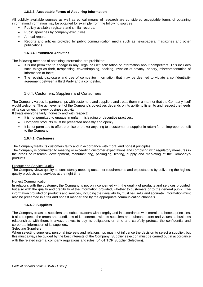## **1.6.3.3. Acceptable Forms of Acquiring Information**

All publicly available sources as well as ethical means of research are considered acceptable forms of obtaining information.Information may be obtained for example from the following sources:

- Publicly available registers and similar records;
- Public speeches by company executives;
- Annual reports;
- Reports and articles provided by public communication media such as newspapers, magazines and other publications.

## **1.6.3.4. Prohibited Activities**

The following methods of obtaining information are prohibited:

- It is not permitted to engage in any illegal or illicit solicitation of information about competitors. This includes such things as theft, trespassing, eavesdropping, hacking, invasion of privacy, bribery, misrepresentation of information or facts;
- The receipt, disclosure and use of competitor information that may be deemed to violate a confidentiality agreement between a third Party and a competitor.

# 1.6.4. Customers, Suppliers and Consumers

The Company values its partnerships with customers and suppliers and treats them in a manner that the Company itself would welcome. The achievement of the Company's objectives depends on its ability to listen to and respect the needs of its customers in every business activity.

It treats everyone fairly, honestly and with respect:

- It is not permitted to engage in unfair, misleading or deceptive practices;
- Company products must be presented honestly and openly;
- It is not permitted to offer, promise or broker anything to a customer or supplier in return for an improper benefit to the Company.

#### **1.6.4.1. Customers**

The Company treats its customers fairly and in accordance with moral and honest principles.

The Company is committed to meeting or exceeding customer expectations and complying with regulatory measures in the areas of research, development, manufacturing, packaging, testing, supply and marketing of the Company's products.

#### Product and Service Quality

The Company views quality as consistently meeting customer requirements and expectations by delivering the highest quality products and services at the right time.

#### Honest Communication

In relations with the customer, the Company is not only concerned with the quality of products and services provided, but also with the quality and credibility of the information provided, whether to customers or to the general public. The information provided on products and services, including their availability, must be useful and accurate. Information must also be presented in a fair and honest manner and by the appropriate communication channels.

#### **1.6.4.2. Suppliers**

The Company treats its suppliers and subcontractors with integrity and in accordance with moral and honest principles. It also respects the terms and conditions of its contracts with its suppliers and subcontractors and values its business relationships with them. It always strives to pay its obligations on time and carefully protects the confidential and corporate information of its suppliers.

#### Selecting Suppliers

When selecting suppliers, personal interests and relationships must not influence the decision to select a supplier, but this must always be guided by the best interests of the Company. Supplier selection must be carried out in accordance with the related internal company regulations and rules (04-01 TOP Supplier Selection).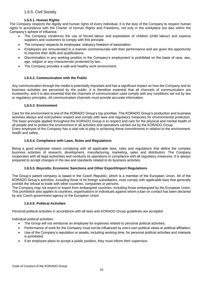# 1.6.5. Civil Society

#### **1.6.5.1. Human Rights**

The Company respects the dignity and human rights of every individual. It is the duty of the Company to respect human rights in accordance with the Charter of Human Rights and Freedoms, not only in the workplace but also within the Company's sphere of influence.

- The Company condemns the use of forced labour and exploitation of children (child labour) and expects suppliers and customers to comply with this principle.
- The company respects its employees' statutory freedom of association.
- Employees are remunerated in a manner commensurate with their performance and are given the opportunity to improve their skills and qualifications.
- Discrimination in any working position in the Company's employment is prohibited on the basis of race, sex, age, religion or any characteristic protected by law.
- The Company provides a safe and healthy work environment.

## **1.6.5.2. Communication with the Public**

Any communication through the media is potentially important and has a significant impact on how the Company and its business activities are perceived by the public. It is therefore essential that all channels of communication are trustworthy, and it is also essential that the channels of communication used comply with any conditions set out by law or regulatory principles. All communication channels must provide accurate information.

#### **1.6.5.3. Environment**

Care for the environment is one of the KORADO Group's top priorities. The KORADO Group's production and business activities always and everywhere respect and comply with laws and regulatory measures for environmental protection. The basic principle applied throughout the KORADO Group is to respect and care for the physical and mental health of all people and to protect the environment in all activities and operations carried out by the KORADO Group. Every employee of the Company has a vital role to play in achieving these commitments in relation to the environment, health and safety.

#### **1.6.5.4. Compliance with Laws, Rules and Regulations**

Being a good employee means complying with all applicable laws, rules and regulations that define the complex business activities of research, development, manufacturing, marketing, sales and distribution. The Company cooperates with all legal authorities and conducts its operations in compliance with all regulatory measures. It is always prepared to accept changes in the law and standards related to its business activities.

#### **1.6.5.5. Boycotts, Economic Sanctions and Other Export/Import Regulations**

The Group's parent company is based in the Czech Republic, which is a member of the European Union. All of the KORADO Group's activities, including those of its foreign subsidiaries, must comply with applicable laws that generally prohibit the refusal to trade with other countries, companies or persons.

The Company may not export or import from embargoed countries, including those embargoed by the European Union. This prohibition also applies to countries, organisations or individuals against whom a ban on contact has been declared by any Czech government agency or the European Union.

#### **1.6.5.6. Political Activities**

Personal political activities in accordance with all laws and KORADO Group guidelines are accepted.

Individual political activities:

- The Group will not reimburse an employee for expenses related to personal political activities;
- Performance of work for the Company must not be influenced by one's own political views or political affiliation;
- Use of the Company's reputation or assets, including working time, for personal political activities and interests is prohibited;
- If an employee plans to accept a public position, they must inform their supervisor.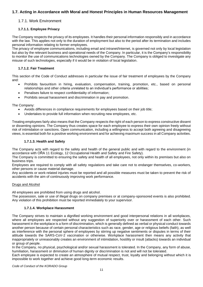# **1.7. Acting in Accordance with Moral and Honest Principles in Human Resources Management**

# 1.7.1. Work Environment

# **1.7.1.1. Employee Privacy**

The Company respects the privacy of its employees. It handles their personal information responsibly and in accordance with the law. This applies not only to the duration of employment but also to the period after its termination and includes personal information relating to former employees.

The privacy of employee communications, including email and intranet/Internet, is governed not only by local legislation but also by the relevant business and operational needs of the Company. In particular, it is the Company's responsibility to monitor the use of communications technologies owned by the Company. The Company is obliged to investigate any misuse of such technologies, especially if it would be in violation of local legislation.

## **1.7.1.2. Fair Treatment**

This section of the Code of Conduct addresses in particular the issue of fair treatment of employees by the Company and:

- Prohibits favouritism in hiring, evaluation, compensation, training, promotion, etc., based on personal relationships and other criteria unrelated to an individual's performance or abilities;
- Penalises failure to respect confidentiality of information;
- Prohibits sexual harassment and discrimination in pay and promotion.

The Company:

- Avoids differences in compliance requirements for employees based on their job title;
- Undertakes to provide full information when recruiting new employees, etc.

Treating employees fairly also means that the Company respects the right of each person to express constructive dissent or dissenting opinions. The Company thus creates space for each employee to express their own opinion freely without risk of intimidation or sanctions. Open communication, including a willingness to accept both agreeing and disagreeing views, is essential both for a positive working environment and for achieving maximum success in all Company activities.

#### **1.7.1.3. Health and Safety**

The Company acts with regard to the safety and health of the general public and with regard to the environment (in accordance with OŘA 11 Ecology, 12 Occupational Health and Safety and Fire Safety).

The Company is committed to ensuring the safety and health of all employees, not only within its premises but also on business trips.

Employees are required to comply with all safety regulations and take care not to endanger themselves, co-workers, other persons or cause material damage.

Any accidents or work-related injuries must be reported and all possible measures must be taken to prevent the risk of accidents with the aim of continuously improving work performance.

#### Drugs and Alcohol

All employees are prohibited from using drugs and alcohol.

The possession, sale or use of illegal drugs on company premises or at company-sponsored events is also prohibited. Any violation of this prohibition must be reported immediately to your supervisor.

#### **1.7.1.4. Workplace Harassment**

The Company strives to maintain a dignified working environment and good interpersonal relations in all workplaces, where all employees are respected without any suggestion of superiority over or harassment of each other. Such harassment in the workplace is a form of discrimination, which is generally defined as verbal or physical conduct towards another person because of certain personal characteristics such as race, gender, age or religious beliefs (faith), as well as interference with the personal sphere of employees by stirring up negative sentiments or disputes in terms of their attitude towards the SARS-CoV-2 vaccination or otherwise. Workplace harassment then means any activity that inappropriately or unreasonably creates an environment of intimidation, hostility or insult (attacks) towards an individual or group of people.

In the Company, no physical, psychological and/or sexual harassment is tolerated. In the Company, any form of abuse, humiliation, harassment or diminution of human dignity or discrimination is not and will not be tolerated.

Each employee is expected to create an atmosphere of mutual respect, trust, loyalty and belonging without which it is impossible to work together and achieve good long-term economic results.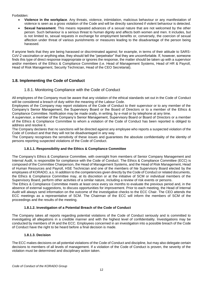Forbidden:

- **Violence in the workplace**. Any threats, violence, intimidation, malicious behaviour or any manifestation of violence is seen as a gross violation of the Code and will be directly sanctioned if violent behaviour is detected.
- **Sexual harassment**. This means repeated advances of a sexual nature that are not welcomed by the other person. Such behaviour is a serious threat to human dignity and affects both women and men. It includes, but is not limited to, sexual requests in exchange for employment benefits or, conversely, the coercion of sexual affection under threat of various punishments or measures leading to the disadvantage of the person being harassed.

If anyone feels that they are being harassed or discriminated against; for example, in terms of their attitude to SARS-CoV-2 vaccination or anything else, they should tell the "perpetrator" that they are uncomfortable. If, however, someone finds this type of direct response inappropriate or ignores the response, the matter should be taken up with a supervisor and/or members of the Ethics & Compliance Committee (i.e. Head of Management Systems, Head of HR & Payroll, Head of Risk Management, Security Technician, Head of the CEO Secretariat).

# **1.8. Implementing the Code of Conduct**

# 1.8.1. Monitoring Compliance with the Code of Conduct

All employees of the Company must be aware that any violation of the ethical standards set out in the Code of Conduct will be considered a breach of duty within the meaning of the Labour Code.

Employees of the Company may report violations of the Code of Conduct to their supervisor or to any member of the Company's Senior Management, the Supervisory Board or the Board of Directors or to a member of the Ethics & Compliance Committee. Notification may be made orally, in writing, by e-mail or by telephone at any time.

A supervisor, a member of the Company's Senior Management, Supervisory Board or Board of Directors or a member of the Ethics & Compliance Committee to whom a violation of the Code of Conduct has been reported is obliged to address and resolve it.

The Company declares that no sanctions will be directed against any employee who reports a suspected violation of the Code of Conduct and that they will not be disadvantaged in any way.

The Company recognises the sensitivity of these issues and guarantees the absolute confidentiality of the identity of persons reporting suspected violations of the Code of Conduct.

#### **1.8.1.1. Responsibility and the Ethics & Compliance Committee**

The Company's Ethics & Compliance Committee, with oversight from members of Senior Company Management and Internal Audit, is responsible for compliance with the Code of Conduct. The Ethics & Compliance Committee (ECC) is composed of the Committee Chairperson, the Head of Management Systems, and the Head of Risk Management, Head of Human Resources and Payroll, HSE Technician and one of the members of hte Supervisory Board elected by the employees of KORADO, a.s. In addition to the competencies given directly by the Code of Conduct or related documents, the Ethics & Compliance Committee may, at its discretion or at the initiative of SCM or individual members of the Supervisory Board, perform other activities of a similar nature, including a review of risk events or persons.

The Ethics & Compliance Committee meets at least once every six months to evaluate the previous period and, in the absence of external suggestions, to discuss opportunities for improvement. Prior to each meeting, the Head of Internal Audit will always send information on the outcome of the investigative checks to the ECC Chair. The CEO attends the ECC meetings as a representative of SCM. The Chairman of the ECC will inform the members of SCM of the proceedings and the results of the meeting.

#### **1.8.1.2. Investigation of a Potential Breach of the Code of Conduct**

The Company takes all reports regarding potential violations of the Code of Conduct seriously and is committed to investigating all allegations in a credible manner and with the highest level of confidentiality. Investigations may be conducted by members of IA and the ECC. Employees concerned in an investigation into a possible breach of the Code of Conduct have the right to be heard before a final decision is made.

#### **1.8.1.3. Decision**

The ECC makes decisions on all potential violations of the Code of Conduct and discipline, but may also delegate certain decisions to members of all levels of management. If a violation of the Code of Conduct is proven, the severity of the violation must be determined and disciplinary action taken.